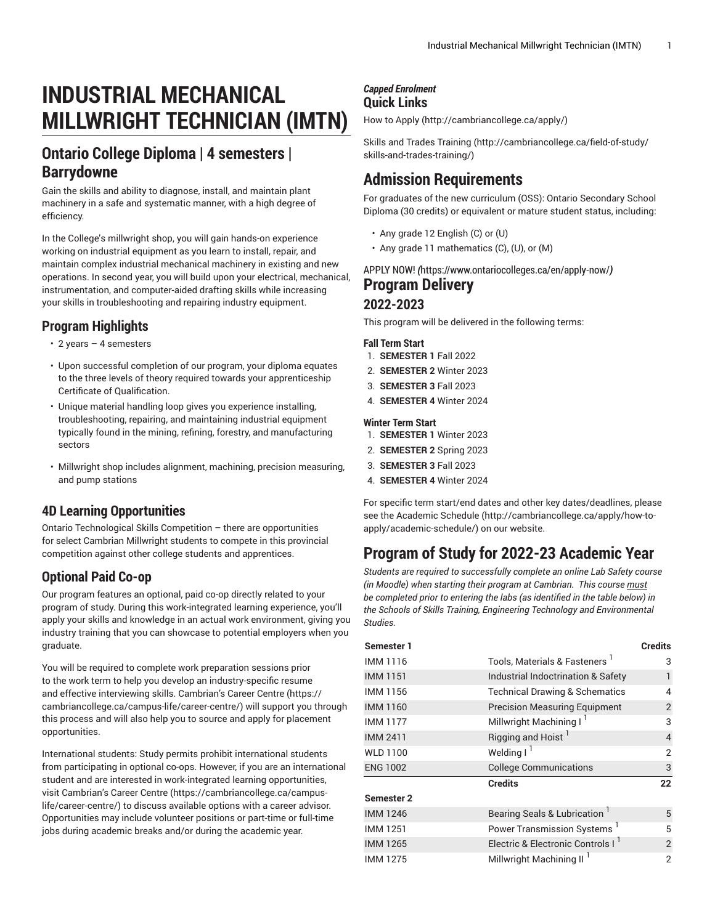# **INDUSTRIAL MECHANICAL MILLWRIGHT TECHNICIAN (IMTN)**

# **Ontario College Diploma | 4 semesters | Barrydowne**

Gain the skills and ability to diagnose, install, and maintain plant machinery in a safe and systematic manner, with a high degree of efficiency.

In the College's millwright shop, you will gain hands-on experience working on industrial equipment as you learn to install, repair, and maintain complex industrial mechanical machinery in existing and new operations. In second year, you will build upon your electrical, mechanical, instrumentation, and computer-aided drafting skills while increasing your skills in troubleshooting and repairing industry equipment.

### **Program Highlights**

- 2 years 4 semesters
- Upon successful completion of our program, your diploma equates to the three levels of theory required towards your apprenticeship Certificate of Qualification.
- Unique material handling loop gives you experience installing, troubleshooting, repairing, and maintaining industrial equipment typically found in the mining, refining, forestry, and manufacturing sectors
- Millwright shop includes alignment, machining, precision measuring, and pump stations

### **4D Learning Opportunities**

Ontario Technological Skills Competition – there are opportunities for select Cambrian Millwright students to compete in this provincial competition against other college students and apprentices.

### **Optional Paid Co-op**

Our program features an optional, paid co-op directly related to your program of study. During this work-integrated learning experience, you'll apply your skills and knowledge in an actual work environment, giving you industry training that you can showcase to potential employers when you graduate.

You will be required to complete work preparation sessions prior to the work term to help you develop an industry-specific resume and effective interviewing skills. Cambrian's Career [Centre \(https://](https://cambriancollege.ca/campus-life/career-centre/) [cambriancollege.ca/campus-life/career-centre/\)](https://cambriancollege.ca/campus-life/career-centre/) will support you through this process and will also help you to source and apply for placement opportunities.

International students: Study permits prohibit international students from participating in optional co-ops. However, if you are an international student and are interested in work-integrated learning opportunities, visit Cambrian's Career [Centre \(https://cambriancollege.ca/campus](https://cambriancollege.ca/campus-life/career-centre/)[life/career-centre/\)](https://cambriancollege.ca/campus-life/career-centre/) to discuss available options with a career advisor. Opportunities may include volunteer positions or part-time or full-time jobs during academic breaks and/or during the academic year.

### *Capped Enrolment* **Quick Links**

[How to Apply](http://cambriancollege.ca/apply/) ([http://cambriancollege.ca/apply/\)](http://cambriancollege.ca/apply/)

Skills and Trades [Training \(http://cambriancollege.ca/field-of-study/](http://cambriancollege.ca/field-of-study/skills-and-trades-training/) [skills-and-trades-training/\)](http://cambriancollege.ca/field-of-study/skills-and-trades-training/)

# **Admission Requirements**

For graduates of the new curriculum (OSS): Ontario Secondary School Diploma (30 credits) or equivalent or mature student status, including:

- Any grade 12 English (C) or (U)
- Any grade 11 mathematics (C), (U), or (M)

[APPLY](https://www.ontariocolleges.ca/en/apply-now/) NOW! *(*<https://www.ontariocolleges.ca/en/apply-now/>*)* **Program Delivery**

### **2022-2023**

This program will be delivered in the following terms:

#### **Fall Term Start**

- 1. **SEMESTER 1** Fall 2022
- 2. **SEMESTER 2** Winter 2023
- 3. **SEMESTER 3** Fall 2023
- 4. **SEMESTER 4** Winter 2024

#### **Winter Term Start**

- 1. **SEMESTER 1** Winter 2023 2. **SEMESTER 2** Spring 2023
- 3. **SEMESTER 3** Fall 2023
- 4. **SEMESTER 4** Winter 2024

For specific term start/end dates and other key dates/deadlines, please see the [Academic Schedule \(http://cambriancollege.ca/apply/how-to](http://cambriancollege.ca/apply/how-to-apply/academic-schedule/)[apply/academic-schedule/](http://cambriancollege.ca/apply/how-to-apply/academic-schedule/)) on our website.

# **Program of Study for 2022-23 Academic Year**

*Students are required to successfully complete an online Lab Safety course (in Moodle) when starting their program at Cambrian. This course must be completed prior to entering the labs (as identified in the table below) in the Schools of Skills Training, Engineering Technology and Environmental Studies.*

| Semester 1      |                                               | <b>Credits</b> |
|-----------------|-----------------------------------------------|----------------|
| IMM 1116        | Tools, Materials & Fasteners '                | 3              |
| <b>IMM 1151</b> | Industrial Indoctrination & Safety            | 1              |
| IMM 1156        | <b>Technical Drawing &amp; Schematics</b>     | 4              |
| <b>IMM 1160</b> | <b>Precision Measuring Equipment</b>          | $\overline{2}$ |
| <b>IMM 1177</b> | Millwright Machining I <sup>1</sup>           | 3              |
| <b>IMM 2411</b> | Rigging and Hoist <sup>1</sup>                | $\overline{4}$ |
| WLD 1100        | Welding I <sup>1</sup>                        | $\overline{2}$ |
| <b>ENG 1002</b> | <b>College Communications</b>                 | $\mathsf{3}$   |
|                 | <b>Credits</b>                                | 22             |
| Semester 2      |                                               |                |
| <b>IMM 1246</b> | Bearing Seals & Lubrication                   | 5              |
| <b>IMM1251</b>  | Power Transmission Systems <sup>1</sup>       | 5              |
| <b>IMM 1265</b> | Electric & Electronic Controls I <sup>1</sup> | $\overline{2}$ |
| <b>IMM1275</b>  | Millwright Machining II <sup>1</sup>          | $\overline{2}$ |